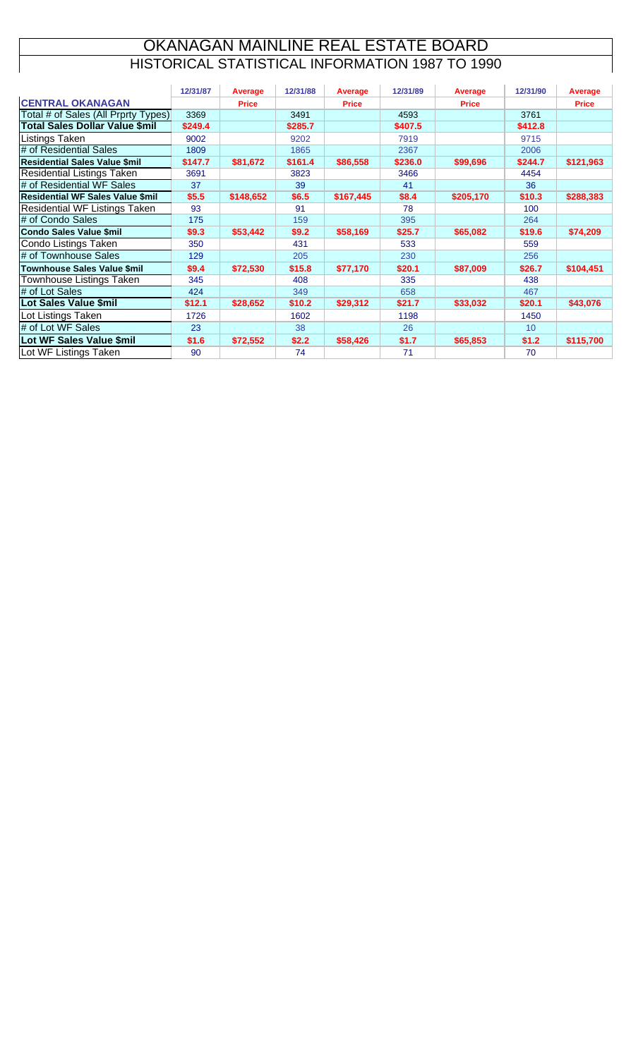#### HISTORICAL STATISTICAL INFORMATION 1987 TO 1990 OKANAGAN MAINLINE REAL ESTATE BOARD

|                                         | 12/31/87 | Average      | 12/31/88 | Average      | 12/31/89 | <b>Average</b> | 12/31/90 | Average      |
|-----------------------------------------|----------|--------------|----------|--------------|----------|----------------|----------|--------------|
| <b>CENTRAL OKANAGAN</b>                 |          | <b>Price</b> |          | <b>Price</b> |          | <b>Price</b>   |          | <b>Price</b> |
| Total # of Sales (All Prprty Types)     | 3369     |              | 3491     |              | 4593     |                | 3761     |              |
| <b>Total Sales Dollar Value \$mil</b>   | \$249.4  |              | \$285.7  |              | \$407.5  |                | \$412.8  |              |
| Listings Taken                          | 9002     |              | 9202     |              | 7919     |                | 9715     |              |
| # of Residential Sales                  | 1809     |              | 1865     |              | 2367     |                | 2006     |              |
| <b>Residential Sales Value \$mil</b>    | \$147.7  | \$81,672     | \$161.4  | \$86,558     | \$236.0  | \$99,696       | \$244.7  | \$121,963    |
| <b>Residential Listings Taken</b>       | 3691     |              | 3823     |              | 3466     |                | 4454     |              |
| # of Residential WF Sales               | 37       |              | 39       |              | 41       |                | 36       |              |
| <b>Residential WF Sales Value \$mil</b> | \$5.5    | \$148,652    | \$6.5    | \$167,445    | \$8.4    | \$205,170      | \$10.3   | \$288,383    |
| <b>Residential WF Listings Taken</b>    | 93       |              | 91       |              | 78       |                | 100      |              |
| # of Condo Sales                        | 175      |              | 159      |              | 395      |                | 264      |              |
| <b>Condo Sales Value \$mil</b>          | \$9.3    | \$53,442     | \$9.2    | \$58,169     | \$25.7   | \$65,082       | \$19.6   | \$74,209     |
| <b>Condo Listings Taken</b>             | 350      |              | 431      |              | 533      |                | 559      |              |
| # of Townhouse Sales                    | 129      |              | 205      |              | 230      |                | 256      |              |
| <b>Townhouse Sales Value \$mil</b>      | \$9.4    | \$72,530     | \$15.8   | \$77,170     | \$20.1   | \$87,009       | \$26.7   | \$104,451    |
| <b>Townhouse Listings Taken</b>         | 345      |              | 408      |              | 335      |                | 438      |              |
| # of Lot Sales                          | 424      |              | 349      |              | 658      |                | 467      |              |
| Lot Sales Value \$mil                   | \$12.1   | \$28,652     | \$10.2   | \$29,312     | \$21.7   | \$33,032       | \$20.1   | \$43,076     |
| Lot Listings Taken                      | 1726     |              | 1602     |              | 1198     |                | 1450     |              |
| # of Lot WF Sales                       | 23       |              | 38       |              | 26       |                | 10       |              |
| Lot WF Sales Value \$mil                | \$1.6    | \$72,552     | \$2.2    | \$58,426     | \$1.7    | \$65,853       | \$1.2    | \$115,700    |
| Lot WF Listings Taken                   | 90       |              | 74       |              | 71       |                | 70       |              |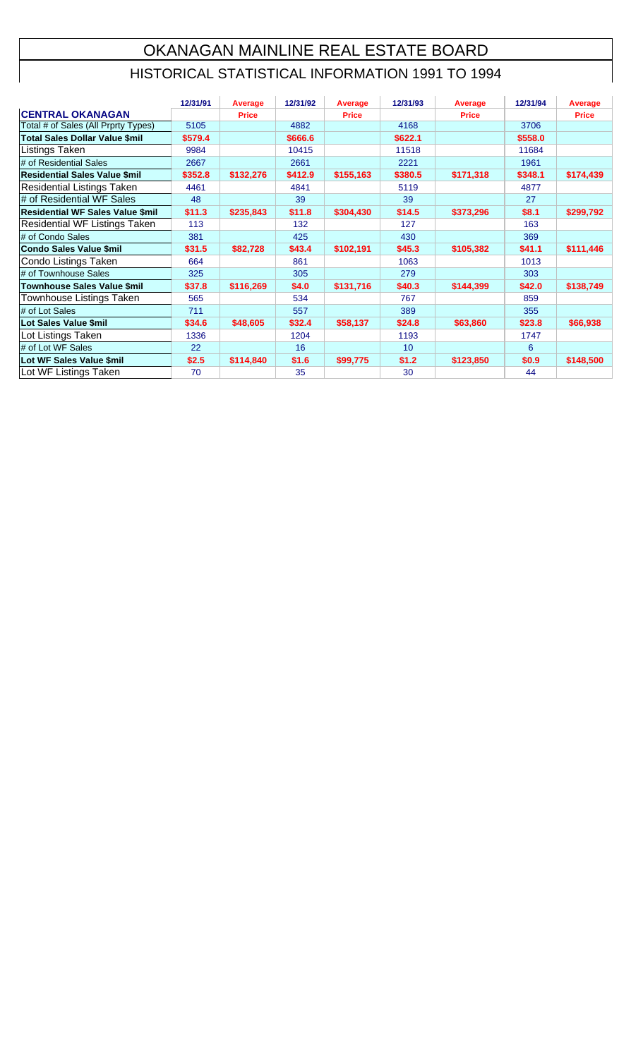# OKANAGAN MAINLINE REAL ESTATE BOARD

### HISTORICAL STATISTICAL INFORMATION 1991 TO 1994

|                                         | 12/31/91 | <b>Average</b> | 12/31/92 | Average      | 12/31/93        | Average      | 12/31/94 | Average      |
|-----------------------------------------|----------|----------------|----------|--------------|-----------------|--------------|----------|--------------|
| <b>CENTRAL OKANAGAN</b>                 |          | <b>Price</b>   |          | <b>Price</b> |                 | <b>Price</b> |          | <b>Price</b> |
| Total # of Sales (All Prprty Types)     | 5105     |                | 4882     |              | 4168            |              | 3706     |              |
| Total Sales Dollar Value \$mil          | \$579.4  |                | \$666.6  |              | \$622.1         |              | \$558.0  |              |
| <b>Listings Taken</b>                   | 9984     |                | 10415    |              | 11518           |              | 11684    |              |
| # of Residential Sales                  | 2667     |                | 2661     |              | 2221            |              | 1961     |              |
| <b>Residential Sales Value \$mil</b>    | \$352.8  | \$132,276      | \$412.9  | \$155,163    | \$380.5         | \$171,318    | \$348.1  | \$174,439    |
| <b>Residential Listings Taken</b>       | 4461     |                | 4841     |              | 5119            |              | 4877     |              |
| # of Residential WF Sales               | 48       |                | 39       |              | 39              |              | 27       |              |
| <b>Residential WF Sales Value \$mil</b> | \$11.3   | \$235,843      | \$11.8   | \$304,430    | \$14.5          | \$373,296    | \$8.1    | \$299,792    |
| <b>Residential WF Listings Taken</b>    | 113      |                | 132      |              | 127             |              | 163      |              |
| # of Condo Sales                        | 381      |                | 425      |              | 430             |              | 369      |              |
| Condo Sales Value \$mil                 | \$31.5   | \$82,728       | \$43.4   | \$102,191    | \$45.3          | \$105,382    | \$41.1   | \$111,446    |
| Condo Listings Taken                    | 664      |                | 861      |              | 1063            |              | 1013     |              |
| # of Townhouse Sales                    | 325      |                | 305      |              | 279             |              | 303      |              |
| Townhouse Sales Value \$mil             | \$37.8   | \$116,269      | \$4.0    | \$131,716    | \$40.3          | \$144,399    | \$42.0   | \$138,749    |
| Townhouse Listings Taken                | 565      |                | 534      |              | 767             |              | 859      |              |
| # of Lot Sales                          | 711      |                | 557      |              | 389             |              | 355      |              |
| Lot Sales Value \$mil                   | \$34.6   | \$48,605       | \$32.4   | \$58,137     | \$24.8          | \$63,860     | \$23.8   | \$66,938     |
| Lot Listings Taken                      | 1336     |                | 1204     |              | 1193            |              | 1747     |              |
| # of Lot WF Sales                       | 22       |                | 16       |              | 10 <sup>1</sup> |              | 6        |              |
| Lot WF Sales Value \$mil                | \$2.5    | \$114,840      | \$1.6    | \$99,775     | \$1.2           | \$123,850    | \$0.9    | \$148,500    |
| Lot WF Listings Taken                   | 70       |                | 35       |              | 30              |              | 44       |              |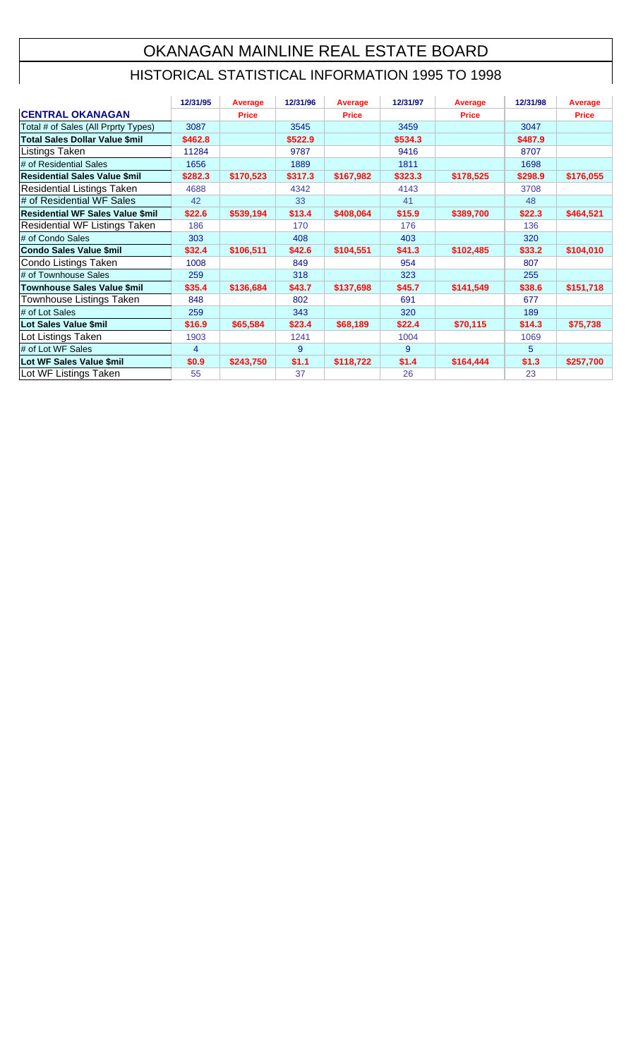## OKANAGAN MAINLINE REAL ESTATE BOARD

#### HISTORICAL STATISTICAL INFORMATION 1995 TO 1998

|                                         | 12/31/95 | Average      | 12/31/96 | Average      | 12/31/97 | Average      | 12/31/98 | <b>Average</b> |
|-----------------------------------------|----------|--------------|----------|--------------|----------|--------------|----------|----------------|
| <b>CENTRAL OKANAGAN</b>                 |          | <b>Price</b> |          | <b>Price</b> |          | <b>Price</b> |          | <b>Price</b>   |
| Total # of Sales (All Prprty Types)     | 3087     |              | 3545     |              | 3459     |              | 3047     |                |
| <b>Total Sales Dollar Value \$mil</b>   | \$462.8  |              | \$522.9  |              | \$534.3  |              | \$487.9  |                |
| Listings Taken                          | 11284    |              | 9787     |              | 9416     |              | 8707     |                |
| # of Residential Sales                  | 1656     |              | 1889     |              | 1811     |              | 1698     |                |
| <b>Residential Sales Value \$mil</b>    | \$282.3  | \$170,523    | \$317.3  | \$167,982    | \$323.3  | \$178,525    | \$298.9  | \$176,055      |
| Residential Listings Taken              | 4688     |              | 4342     |              | 4143     |              | 3708     |                |
| # of Residential WF Sales               | 42       |              | 33       |              | 41       |              | 48       |                |
| <b>Residential WF Sales Value \$mil</b> | \$22.6   | \$539,194    | \$13.4   | \$408,064    | \$15.9   | \$389,700    | \$22.3   | \$464,521      |
| Residential WF Listings Taken           | 186      |              | 170      |              | 176      |              | 136      |                |
| # of Condo Sales                        | 303      |              | 408      |              | 403      |              | 320      |                |
| <b>Condo Sales Value \$mil</b>          | \$32.4   | \$106,511    | \$42.6   | \$104,551    | \$41.3   | \$102,485    | \$33.2   | \$104,010      |
| Condo Listings Taken                    | 1008     |              | 849      |              | 954      |              | 807      |                |
| # of Townhouse Sales                    | 259      |              | 318      |              | 323      |              | 255      |                |
| <b>Townhouse Sales Value \$mil</b>      | \$35.4   | \$136,684    | \$43.7   | \$137,698    | \$45.7   | \$141,549    | \$38.6   | \$151,718      |
| Townhouse Listings Taken                | 848      |              | 802      |              | 691      |              | 677      |                |
| # of Lot Sales                          | 259      |              | 343      |              | 320      |              | 189      |                |
| Lot Sales Value \$mil                   | \$16.9   | \$65,584     | \$23.4   | \$68,189     | \$22.4   | \$70,115     | \$14.3   | \$75,738       |
| Lot Listings Taken                      | 1903     |              | 1241     |              | 1004     |              | 1069     |                |
| # of Lot WF Sales                       | 4        |              | 9        |              | 9        |              | 5        |                |
| Lot WF Sales Value \$mil                | \$0.9    | \$243,750    | \$1.1    | \$118,722    | \$1.4    | \$164,444    | \$1.3    | \$257,700      |
| Lot WF Listings Taken                   | 55       |              | 37       |              | 26       |              | 23       |                |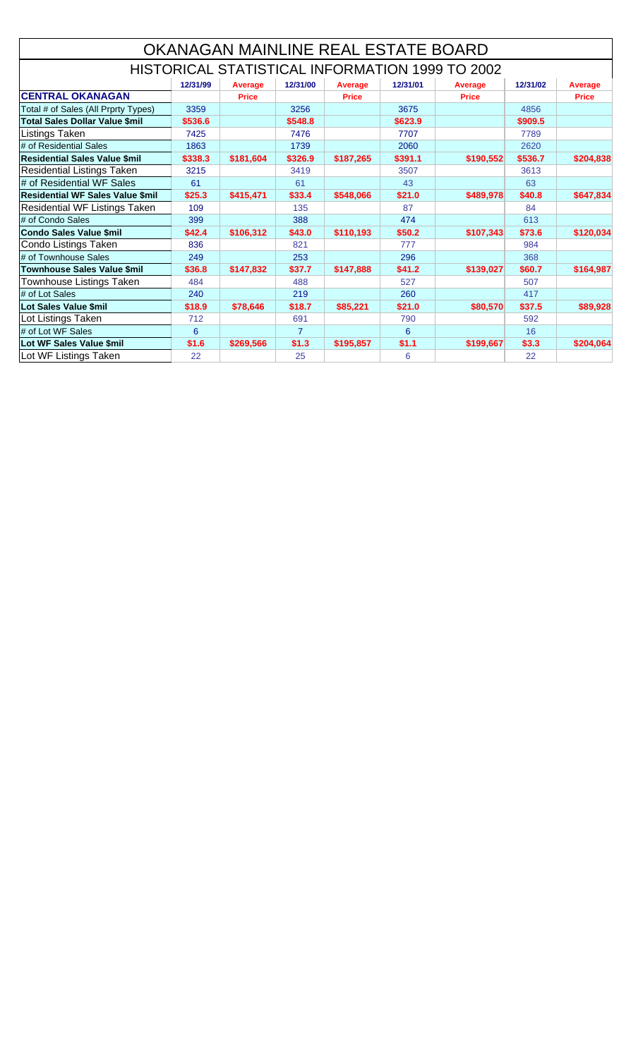|                                          |          |                |                | OKANAGAN MAINLINE REAL ESTATE BOARD |          |                                                 |          |                |
|------------------------------------------|----------|----------------|----------------|-------------------------------------|----------|-------------------------------------------------|----------|----------------|
|                                          |          |                |                |                                     |          | HISTORICAL STATISTICAL INFORMATION 1999 TO 2002 |          |                |
|                                          | 12/31/99 | <b>Average</b> | 12/31/00       | Average                             | 12/31/01 | <b>Average</b>                                  | 12/31/02 | <b>Average</b> |
| <b>CENTRAL OKANAGAN</b>                  |          | <b>Price</b>   |                | <b>Price</b>                        |          | <b>Price</b>                                    |          | <b>Price</b>   |
| Total # of Sales (All Prprty Types)      | 3359     |                | 3256           |                                     | 3675     |                                                 | 4856     |                |
| <b>Total Sales Dollar Value \$mil</b>    | \$536.6  |                | \$548.8        |                                     | \$623.9  |                                                 | \$909.5  |                |
| <b>Listings Taken</b>                    | 7425     |                | 7476           |                                     | 7707     |                                                 | 7789     |                |
| # of Residential Sales                   | 1863     |                | 1739           |                                     | 2060     |                                                 | 2620     |                |
| <b>Residential Sales Value \$mil</b>     | \$338.3  | \$181,604      | \$326.9        | \$187,265                           | \$391.1  | \$190,552                                       | \$536.7  | \$204,838      |
| <b>Residential Listings Taken</b>        | 3215     |                | 3419           |                                     | 3507     |                                                 | 3613     |                |
| # of Residential WF Sales                | 61       |                | 61             |                                     | 43       |                                                 | 63       |                |
| <b>Residential WF Sales Value \$mill</b> | \$25.3   | \$415,471      | \$33.4         | \$548,066                           | \$21.0   | \$489,978                                       | \$40.8   | \$647,834      |
| Residential WF Listings Taken            | 109      |                | 135            |                                     | 87       |                                                 | 84       |                |
| # of Condo Sales                         | 399      |                | 388            |                                     | 474      |                                                 | 613      |                |
| Condo Sales Value \$mil                  | \$42.4   | \$106,312      | \$43.0         | \$110,193                           | \$50.2   | \$107,343                                       | \$73.6   | \$120,034      |
| Condo Listings Taken                     | 836      |                | 821            |                                     | 777      |                                                 | 984      |                |
| # of Townhouse Sales                     | 249      |                | 253            |                                     | 296      |                                                 | 368      |                |
| Townhouse Sales Value \$mil              | \$36.8   | \$147,832      | \$37.7         | \$147,888                           | \$41.2   | \$139,027                                       | \$60.7   | \$164,987      |
| Townhouse Listings Taken                 | 484      |                | 488            |                                     | 527      |                                                 | 507      |                |
| # of Lot Sales                           | 240      |                | 219            |                                     | 260      |                                                 | 417      |                |
| Lot Sales Value \$mil                    | \$18.9   | \$78,646       | \$18.7         | \$85,221                            | \$21.0   | \$80,570                                        | \$37.5   | \$89,928       |
| Lot Listings Taken                       | 712      |                | 691            |                                     | 790      |                                                 | 592      |                |
| # of Lot WF Sales                        | 6        |                | $\overline{7}$ |                                     | 6        |                                                 | 16       |                |
| Lot WF Sales Value \$mil                 | \$1.6    | \$269,566      | \$1.3          | \$195,857                           | \$1.1    | \$199,667                                       | \$3.3    | \$204,064      |
| Lot WF Listings Taken                    | 22       |                | 25             |                                     | 6        |                                                 | 22       |                |